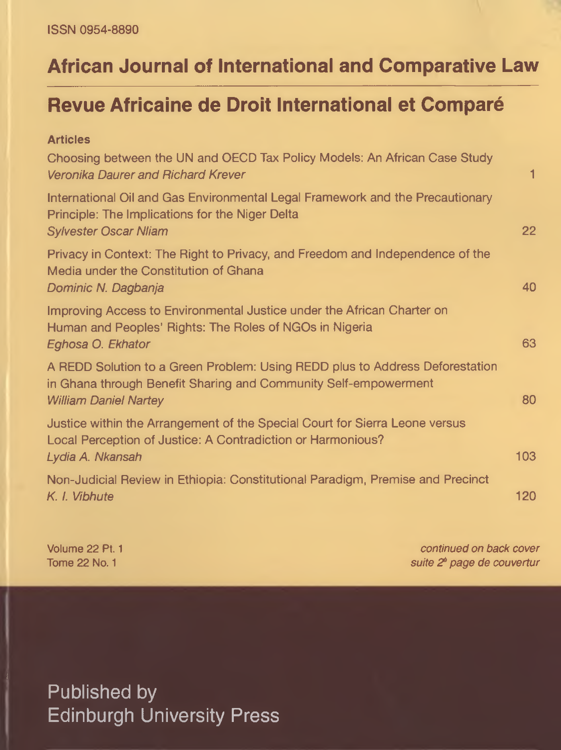# **African Journal of International and Comparative Law**

## **Revue Africaine de Droit International et Comparé**

| <b>Articles</b>                                                                                                                                                                 |                  |
|---------------------------------------------------------------------------------------------------------------------------------------------------------------------------------|------------------|
| Choosing between the UN and OECD Tax Policy Models: An African Case Study<br>Veronika Daurer and Richard Krever                                                                 | 1                |
| International Oil and Gas Environmental Legal Framework and the Precautionary<br>Principle: The Implications for the Niger Delta<br><b>Sylvester Oscar Nliam</b>                | 22               |
| Privacy in Context: The Right to Privacy, and Freedom and Independence of the<br>Media under the Constitution of Ghana<br>Dominic N. Dagbanja                                   | 40               |
| Improving Access to Environmental Justice under the African Charter on<br>Human and Peoples' Rights: The Roles of NGOs in Nigeria<br>Eghosa O. Ekhator                          | 63               |
| A REDD Solution to a Green Problem: Using REDD plus to Address Deforestation<br>in Ghana through Benefit Sharing and Community Self-empowerment<br><b>William Daniel Nartey</b> | 80               |
| Justice within the Arrangement of the Special Court for Sierra Leone versus<br>Local Perception of Justice: A Contradiction or Harmonious?<br>Lydia A. Nkansah                  | 103 <sub>1</sub> |
| Non-Judicial Review in Ethiopia: Constitutional Paradigm, Premise and Precinct<br>K. I. Vibhute                                                                                 | 120              |

Volume 22 Pt. 1 *continued on back cover* Tome 22 No. 1 *suite 20 page de couvertur*

Published by Edinburgh University Press